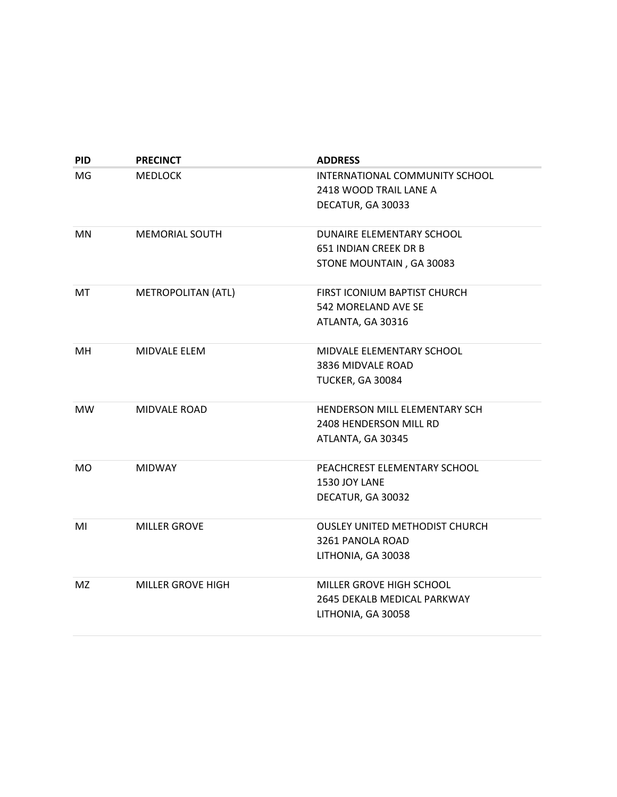| <b>PID</b> | <b>PRECINCT</b>          | <b>ADDRESS</b>                        |
|------------|--------------------------|---------------------------------------|
| MG         | <b>MEDLOCK</b>           | INTERNATIONAL COMMUNITY SCHOOL        |
|            |                          | 2418 WOOD TRAIL LANE A                |
|            |                          | DECATUR, GA 30033                     |
|            |                          |                                       |
| <b>MN</b>  | <b>MEMORIAL SOUTH</b>    | DUNAIRE ELEMENTARY SCHOOL             |
|            |                          | 651 INDIAN CREEK DR B                 |
|            |                          | STONE MOUNTAIN, GA 30083              |
| МT         | METROPOLITAN (ATL)       | FIRST ICONIUM BAPTIST CHURCH          |
|            |                          | 542 MORELAND AVE SE                   |
|            |                          | ATLANTA, GA 30316                     |
| MН         | <b>MIDVALE ELEM</b>      | MIDVALE ELEMENTARY SCHOOL             |
|            |                          | 3836 MIDVALE ROAD                     |
|            |                          | TUCKER, GA 30084                      |
| MW.        | <b>MIDVALE ROAD</b>      | <b>HENDERSON MILL ELEMENTARY SCH</b>  |
|            |                          | 2408 HENDERSON MILL RD                |
|            |                          | ATLANTA, GA 30345                     |
|            |                          |                                       |
| MO         | <b>MIDWAY</b>            | PEACHCREST ELEMENTARY SCHOOL          |
|            |                          | 1530 JOY LANE                         |
|            |                          | DECATUR, GA 30032                     |
| MI         | <b>MILLER GROVE</b>      | <b>OUSLEY UNITED METHODIST CHURCH</b> |
|            |                          | 3261 PANOLA ROAD                      |
|            |                          | LITHONIA, GA 30038                    |
| MZ.        | <b>MILLER GROVE HIGH</b> | MILLER GROVE HIGH SCHOOL              |
|            |                          | 2645 DEKALB MEDICAL PARKWAY           |
|            |                          | LITHONIA, GA 30058                    |
|            |                          |                                       |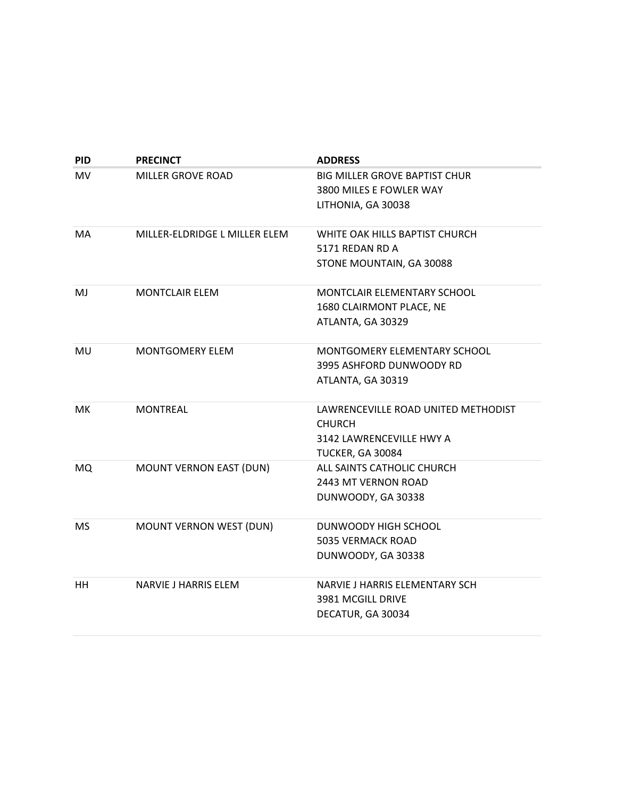| <b>PID</b> | <b>PRECINCT</b>                | <b>ADDRESS</b>                       |
|------------|--------------------------------|--------------------------------------|
| MV.        | MILLER GROVE ROAD              | <b>BIG MILLER GROVE BAPTIST CHUR</b> |
|            |                                | 3800 MILES E FOWLER WAY              |
|            |                                | LITHONIA, GA 30038                   |
| MA         | MILLER-ELDRIDGE L MILLER ELEM  | WHITE OAK HILLS BAPTIST CHURCH       |
|            |                                | 5171 REDAN RD A                      |
|            |                                | STONE MOUNTAIN, GA 30088             |
| MJ         | <b>MONTCLAIR ELEM</b>          | MONTCLAIR ELEMENTARY SCHOOL          |
|            |                                | 1680 CLAIRMONT PLACE, NE             |
|            |                                | ATLANTA, GA 30329                    |
| MU         | <b>MONTGOMERY ELEM</b>         | <b>MONTGOMERY ELEMENTARY SCHOOL</b>  |
|            |                                | 3995 ASHFORD DUNWOODY RD             |
|            |                                | ATLANTA, GA 30319                    |
| МK         | MONTREAL                       | LAWRENCEVILLE ROAD UNITED METHODIST  |
|            |                                | <b>CHURCH</b>                        |
|            |                                | 3142 LAWRENCEVILLE HWY A             |
|            |                                | TUCKER, GA 30084                     |
| MQ         | <b>MOUNT VERNON EAST (DUN)</b> | ALL SAINTS CATHOLIC CHURCH           |
|            |                                | 2443 MT VERNON ROAD                  |
|            |                                | DUNWOODY, GA 30338                   |
| <b>MS</b>  | MOUNT VERNON WEST (DUN)        | DUNWOODY HIGH SCHOOL                 |
|            |                                | <b>5035 VERMACK ROAD</b>             |
|            |                                | DUNWOODY, GA 30338                   |
| HН         | NARVIE J HARRIS ELEM           | NARVIE J HARRIS ELEMENTARY SCH       |
|            |                                | 3981 MCGILL DRIVE                    |
|            |                                | DECATUR, GA 30034                    |
|            |                                |                                      |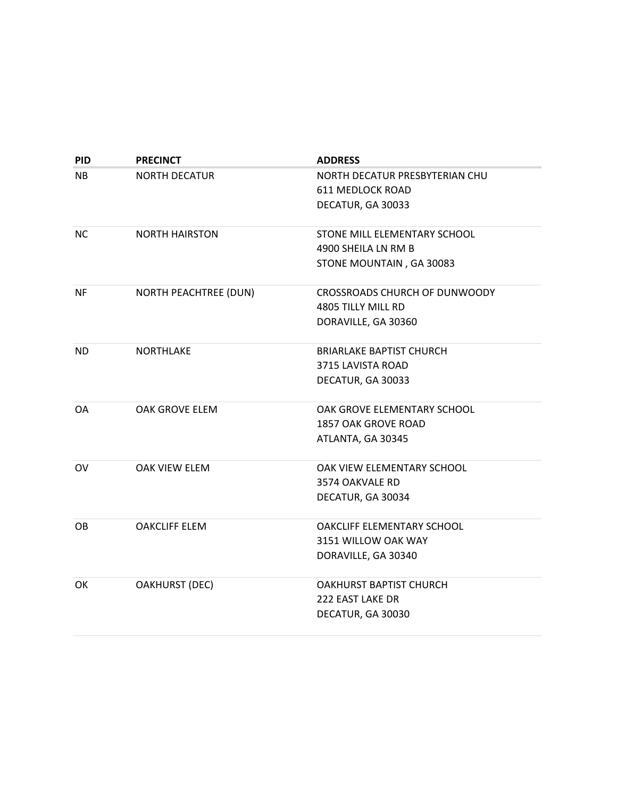| <b>PID</b> | <b>PRECINCT</b>              | <b>ADDRESS</b>                    |
|------------|------------------------------|-----------------------------------|
| NB.        | <b>NORTH DECATUR</b>         | NORTH DECATUR PRESBYTERIAN CHU    |
|            |                              | 611 MEDLOCK ROAD                  |
|            |                              | DECATUR, GA 30033                 |
|            |                              |                                   |
| ΝC         | <b>NORTH HAIRSTON</b>        | STONE MILL ELEMENTARY SCHOOL      |
|            |                              | 4900 SHEILA LN RM B               |
|            |                              | STONE MOUNTAIN, GA 30083          |
| <b>NF</b>  | <b>NORTH PEACHTREE (DUN)</b> | CROSSROADS CHURCH OF DUNWOODY     |
|            |                              | 4805 TILLY MILL RD                |
|            |                              | DORAVILLE, GA 30360               |
| <b>ND</b>  | <b>NORTHLAKE</b>             | <b>BRIARLAKE BAPTIST CHURCH</b>   |
|            |                              | 3715 LAVISTA ROAD                 |
|            |                              | DECATUR, GA 30033                 |
| <b>OA</b>  | OAK GROVE ELEM               | OAK GROVE ELEMENTARY SCHOOL       |
|            |                              | 1857 OAK GROVE ROAD               |
|            |                              | ATLANTA, GA 30345                 |
|            |                              |                                   |
| OV         | <b>OAK VIEW ELEM</b>         | OAK VIEW ELEMENTARY SCHOOL        |
|            |                              | 3574 OAKVALE RD                   |
|            |                              | DECATUR, GA 30034                 |
| OВ         | <b>OAKCLIFF ELEM</b>         | <b>OAKCLIFF ELEMENTARY SCHOOL</b> |
|            |                              | 3151 WILLOW OAK WAY               |
|            |                              | DORAVILLE, GA 30340               |
| OK         | <b>OAKHURST (DEC)</b>        | OAKHURST BAPTIST CHURCH           |
|            |                              | 222 EAST LAKE DR                  |
|            |                              | DECATUR, GA 30030                 |
|            |                              |                                   |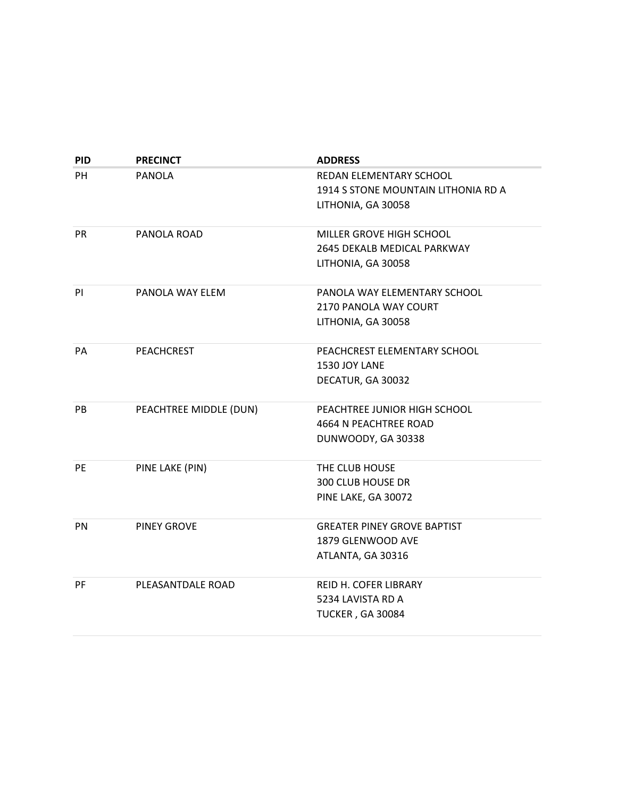| <b>PID</b> | <b>PRECINCT</b>        | <b>ADDRESS</b>                      |
|------------|------------------------|-------------------------------------|
| PH.        | <b>PANOLA</b>          | REDAN ELEMENTARY SCHOOL             |
|            |                        | 1914 S STONE MOUNTAIN LITHONIA RD A |
|            |                        | LITHONIA, GA 30058                  |
|            |                        |                                     |
| <b>PR</b>  | PANOLA ROAD            | MILLER GROVE HIGH SCHOOL            |
|            |                        | 2645 DEKALB MEDICAL PARKWAY         |
|            |                        | LITHONIA, GA 30058                  |
| PI         | PANOLA WAY ELEM        | PANOLA WAY ELEMENTARY SCHOOL        |
|            |                        | 2170 PANOLA WAY COURT               |
|            |                        | LITHONIA, GA 30058                  |
|            |                        |                                     |
| PA         | <b>PEACHCREST</b>      | PEACHCREST ELEMENTARY SCHOOL        |
|            |                        | 1530 JOY LANE                       |
|            |                        | DECATUR, GA 30032                   |
|            |                        |                                     |
| PB         | PEACHTREE MIDDLE (DUN) | PEACHTREE JUNIOR HIGH SCHOOL        |
|            |                        | 4664 N PEACHTREE ROAD               |
|            |                        | DUNWOODY, GA 30338                  |
| PE         | PINE LAKE (PIN)        | THE CLUB HOUSE                      |
|            |                        | <b>300 CLUB HOUSE DR</b>            |
|            |                        | PINE LAKE, GA 30072                 |
|            |                        |                                     |
| <b>PN</b>  | <b>PINEY GROVE</b>     | <b>GREATER PINEY GROVE BAPTIST</b>  |
|            |                        | 1879 GLENWOOD AVE                   |
|            |                        | ATLANTA, GA 30316                   |
| <b>PF</b>  | PLEASANTDALE ROAD      | REID H. COFER LIBRARY               |
|            |                        | 5234 LAVISTA RD A                   |
|            |                        |                                     |
|            |                        | <b>TUCKER, GA 30084</b>             |
|            |                        |                                     |

**June 14, 2022** – This report is based on approved polling places as of the date of publishing and is subject to change. Contact Voter Registration & Elections at voterreg@dekalbcountyga.gov to determine any pending precinct changes.

| www.dekalbvotes.com |
|---------------------|
| $(404)$ 298-4020    |

4380 Memorial Drive, Ste 300 Decatur, GA 30032-1239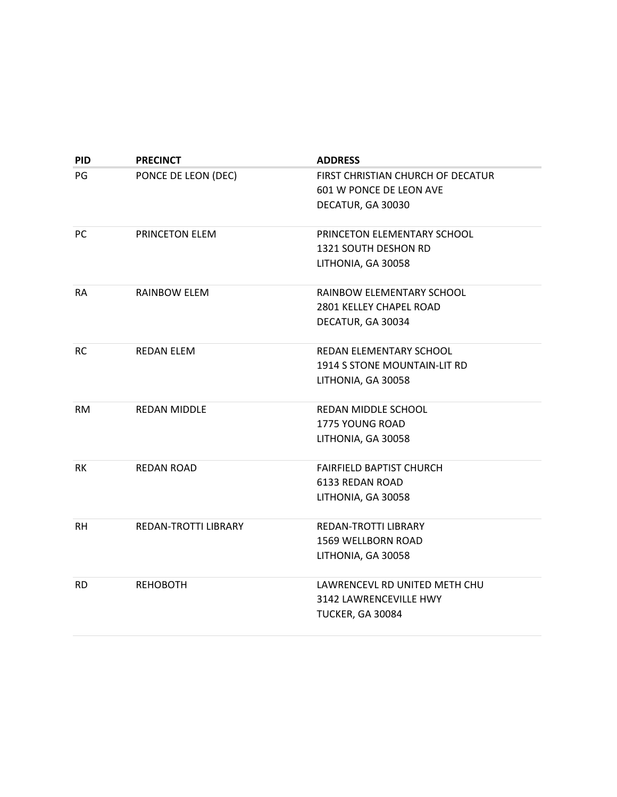| <b>PID</b> | <b>PRECINCT</b>       | <b>ADDRESS</b>                    |
|------------|-----------------------|-----------------------------------|
| PG         | PONCE DE LEON (DEC)   | FIRST CHRISTIAN CHURCH OF DECATUR |
|            |                       | 601 W PONCE DE LEON AVE           |
|            |                       | DECATUR, GA 30030                 |
|            |                       |                                   |
| PC         | <b>PRINCETON ELEM</b> | PRINCETON ELEMENTARY SCHOOL       |
|            |                       | 1321 SOUTH DESHON RD              |
|            |                       | LITHONIA, GA 30058                |
| RA         | RAINBOW ELEM          | RAINBOW ELEMENTARY SCHOOL         |
|            |                       | 2801 KELLEY CHAPEL ROAD           |
|            |                       | DECATUR, GA 30034                 |
| <b>RC</b>  | <b>REDAN ELEM</b>     | REDAN ELEMENTARY SCHOOL           |
|            |                       | 1914 S STONE MOUNTAIN-LIT RD      |
|            |                       | LITHONIA, GA 30058                |
| <b>RM</b>  | <b>REDAN MIDDLE</b>   | REDAN MIDDLE SCHOOL               |
|            |                       | <b>1775 YOUNG ROAD</b>            |
|            |                       | LITHONIA, GA 30058                |
| RK         | <b>REDAN ROAD</b>     | <b>FAIRFIELD BAPTIST CHURCH</b>   |
|            |                       | 6133 REDAN ROAD                   |
|            |                       | LITHONIA, GA 30058                |
| <b>RH</b>  | REDAN-TROTTI LIBRARY  | REDAN-TROTTI LIBRARY              |
|            |                       | 1569 WELLBORN ROAD                |
|            |                       | LITHONIA, GA 30058                |
| <b>RD</b>  | <b>REHOBOTH</b>       | LAWRENCEVL RD UNITED METH CHU     |
|            |                       | 3142 LAWRENCEVILLE HWY            |
|            |                       | TUCKER, GA 30084                  |
|            |                       |                                   |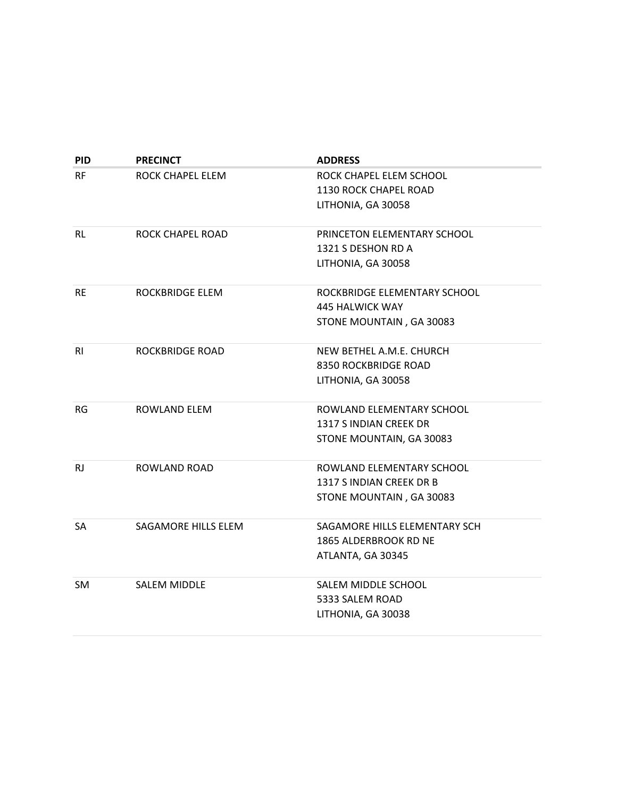| <b>PID</b> | <b>PRECINCT</b>        | <b>ADDRESS</b>                |
|------------|------------------------|-------------------------------|
| <b>RF</b>  | ROCK CHAPEL ELEM       | ROCK CHAPEL ELEM SCHOOL       |
|            |                        | 1130 ROCK CHAPEL ROAD         |
|            |                        | LITHONIA, GA 30058            |
| RL         | ROCK CHAPEL ROAD       | PRINCETON ELEMENTARY SCHOOL   |
|            |                        | 1321 S DESHON RD A            |
|            |                        | LITHONIA, GA 30058            |
| RE.        | ROCKBRIDGE ELEM        | ROCKBRIDGE ELEMENTARY SCHOOL  |
|            |                        | 445 HALWICK WAY               |
|            |                        | STONE MOUNTAIN, GA 30083      |
| RI         | <b>ROCKBRIDGE ROAD</b> | NEW BETHEL A.M.E. CHURCH      |
|            |                        | 8350 ROCKBRIDGE ROAD          |
|            |                        | LITHONIA, GA 30058            |
| RG         | ROWLAND ELEM           | ROWLAND ELEMENTARY SCHOOL     |
|            |                        | 1317 S INDIAN CREEK DR        |
|            |                        | STONE MOUNTAIN, GA 30083      |
| RJ.        | ROWLAND ROAD           | ROWLAND ELEMENTARY SCHOOL     |
|            |                        | 1317 S INDIAN CREEK DR B      |
|            |                        | STONE MOUNTAIN, GA 30083      |
| SA         | SAGAMORE HILLS ELEM    | SAGAMORE HILLS ELEMENTARY SCH |
|            |                        | 1865 ALDERBROOK RD NE         |
|            |                        | ATLANTA, GA 30345             |
| SM.        | <b>SALEM MIDDLE</b>    | SALEM MIDDLE SCHOOL           |
|            |                        | 5333 SALEM ROAD               |
|            |                        | LITHONIA, GA 30038            |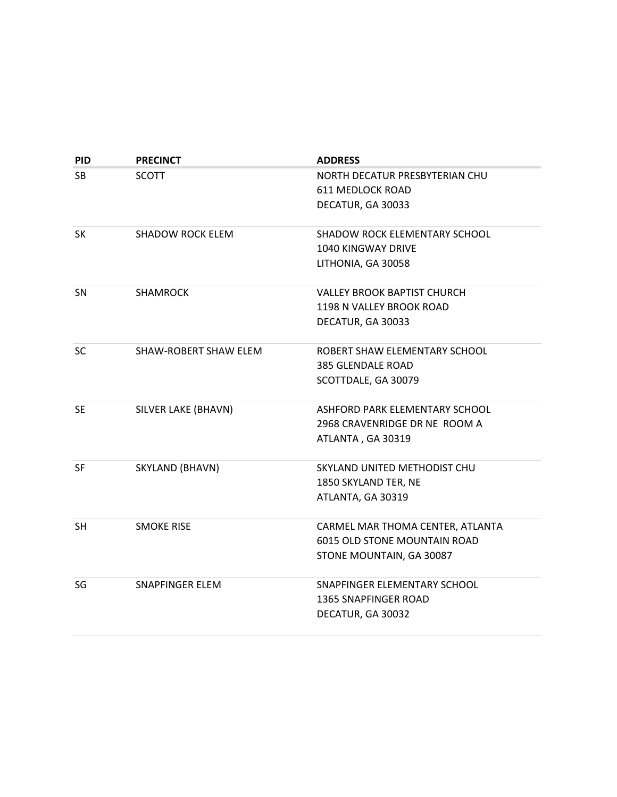| <b>PID</b> | <b>PRECINCT</b>         | <b>ADDRESS</b>                       |
|------------|-------------------------|--------------------------------------|
| <b>SB</b>  | <b>SCOTT</b>            | NORTH DECATUR PRESBYTERIAN CHU       |
|            |                         | 611 MEDLOCK ROAD                     |
|            |                         | DECATUR, GA 30033                    |
| <b>SK</b>  | <b>SHADOW ROCK ELEM</b> | <b>SHADOW ROCK ELEMENTARY SCHOOL</b> |
|            |                         | <b>1040 KINGWAY DRIVE</b>            |
|            |                         | LITHONIA, GA 30058                   |
| SN         | <b>SHAMROCK</b>         | <b>VALLEY BROOK BAPTIST CHURCH</b>   |
|            |                         | 1198 N VALLEY BROOK ROAD             |
|            |                         | DECATUR, GA 30033                    |
| <b>SC</b>  | SHAW-ROBERT SHAW ELEM   | ROBERT SHAW ELEMENTARY SCHOOL        |
|            |                         | <b>385 GLENDALE ROAD</b>             |
|            |                         | SCOTTDALE, GA 30079                  |
| <b>SE</b>  | SILVER LAKE (BHAVN)     | ASHFORD PARK ELEMENTARY SCHOOL       |
|            |                         | 2968 CRAVENRIDGE DR NE ROOM A        |
|            |                         | ATLANTA, GA 30319                    |
| <b>SF</b>  | SKYLAND (BHAVN)         | SKYLAND UNITED METHODIST CHU         |
|            |                         | 1850 SKYLAND TER, NE                 |
|            |                         | ATLANTA, GA 30319                    |
| <b>SH</b>  | <b>SMOKE RISE</b>       | CARMEL MAR THOMA CENTER, ATLANTA     |
|            |                         | 6015 OLD STONE MOUNTAIN ROAD         |
|            |                         | STONE MOUNTAIN, GA 30087             |
| SG         | SNAPFINGER ELEM         | SNAPFINGER ELEMENTARY SCHOOL         |
|            |                         | <b>1365 SNAPFINGER ROAD</b>          |
|            |                         | DECATUR, GA 30032                    |

**June 14, 2022** – This report is based on approved polling places as of the date of publishing and is subject to change. Contact Voter Registration & Elections at voterreg@dekalbcountyga.gov to determine any pending precinct changes.

| www.dekalbvotes.com |
|---------------------|
| $(404)$ 298-4020    |

4380 Memorial Drive, Ste 300 Decatur, GA 30032-1239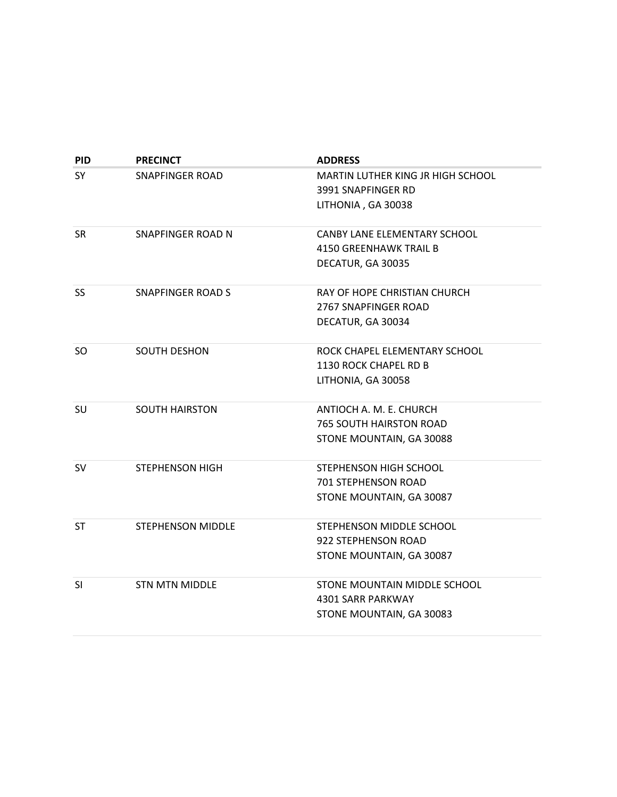| <b>PID</b> | <b>PRECINCT</b>          | <b>ADDRESS</b>                    |
|------------|--------------------------|-----------------------------------|
| SY         | <b>SNAPFINGER ROAD</b>   | MARTIN LUTHER KING JR HIGH SCHOOL |
|            |                          | 3991 SNAPFINGER RD                |
|            |                          | LITHONIA, GA 30038                |
| <b>SR</b>  | SNAPFINGER ROAD N        | CANBY LANE ELEMENTARY SCHOOL      |
|            |                          | <b>4150 GREENHAWK TRAIL B</b>     |
|            |                          | DECATUR, GA 30035                 |
| <b>SS</b>  | <b>SNAPFINGER ROAD S</b> | RAY OF HOPE CHRISTIAN CHURCH      |
|            |                          | 2767 SNAPFINGER ROAD              |
|            |                          | DECATUR, GA 30034                 |
| SO.        | <b>SOUTH DESHON</b>      | ROCK CHAPEL ELEMENTARY SCHOOL     |
|            |                          | 1130 ROCK CHAPEL RD B             |
|            |                          | LITHONIA, GA 30058                |
| SU         | <b>SOUTH HAIRSTON</b>    | ANTIOCH A. M. E. CHURCH           |
|            |                          | <b>765 SOUTH HAIRSTON ROAD</b>    |
|            |                          | STONE MOUNTAIN, GA 30088          |
| <b>SV</b>  | <b>STEPHENSON HIGH</b>   | STEPHENSON HIGH SCHOOL            |
|            |                          | 701 STEPHENSON ROAD               |
|            |                          | STONE MOUNTAIN, GA 30087          |
| ST         | <b>STEPHENSON MIDDLE</b> | STEPHENSON MIDDLE SCHOOL          |
|            |                          | 922 STEPHENSON ROAD               |
|            |                          | STONE MOUNTAIN, GA 30087          |
| SI         | <b>STN MTN MIDDLE</b>    | STONE MOUNTAIN MIDDLE SCHOOL      |
|            |                          | 4301 SARR PARKWAY                 |
|            |                          | STONE MOUNTAIN, GA 30083          |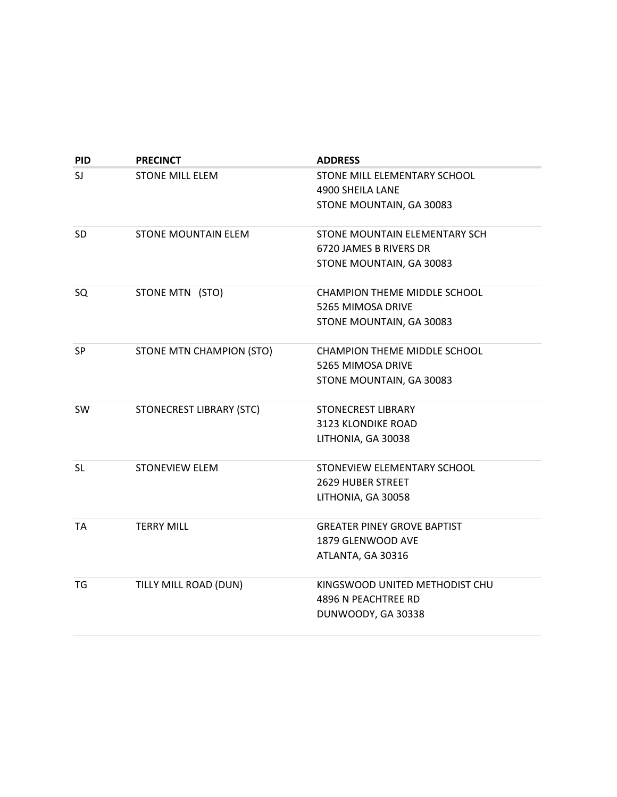| <b>PID</b> | <b>PRECINCT</b>                 | <b>ADDRESS</b>                      |
|------------|---------------------------------|-------------------------------------|
| SJ         | <b>STONE MILL ELEM</b>          | STONE MILL ELEMENTARY SCHOOL        |
|            |                                 | 4900 SHEILA LANE                    |
|            |                                 | STONE MOUNTAIN, GA 30083            |
| <b>SD</b>  | STONE MOUNTAIN ELEM             | STONE MOUNTAIN ELEMENTARY SCH       |
|            |                                 | 6720 JAMES B RIVERS DR              |
|            |                                 | STONE MOUNTAIN, GA 30083            |
| SQ         | STONE MTN (STO)                 | <b>CHAMPION THEME MIDDLE SCHOOL</b> |
|            |                                 | 5265 MIMOSA DRIVE                   |
|            |                                 | STONE MOUNTAIN, GA 30083            |
| <b>SP</b>  | STONE MTN CHAMPION (STO)        | <b>CHAMPION THEME MIDDLE SCHOOL</b> |
|            |                                 | 5265 MIMOSA DRIVE                   |
|            |                                 | STONE MOUNTAIN, GA 30083            |
| <b>SW</b>  | <b>STONECREST LIBRARY (STC)</b> | <b>STONECREST LIBRARY</b>           |
|            |                                 | 3123 KLONDIKE ROAD                  |
|            |                                 | LITHONIA, GA 30038                  |
| <b>SL</b>  | <b>STONEVIEW ELEM</b>           | STONEVIEW ELEMENTARY SCHOOL         |
|            |                                 | <b>2629 HUBER STREET</b>            |
|            |                                 | LITHONIA, GA 30058                  |
| <b>TA</b>  | <b>TERRY MILL</b>               | <b>GREATER PINEY GROVE BAPTIST</b>  |
|            |                                 | 1879 GLENWOOD AVE                   |
|            |                                 | ATLANTA, GA 30316                   |
| TG         | TILLY MILL ROAD (DUN)           | KINGSWOOD UNITED METHODIST CHU      |
|            |                                 | 4896 N PEACHTREE RD                 |
|            |                                 | DUNWOODY, GA 30338                  |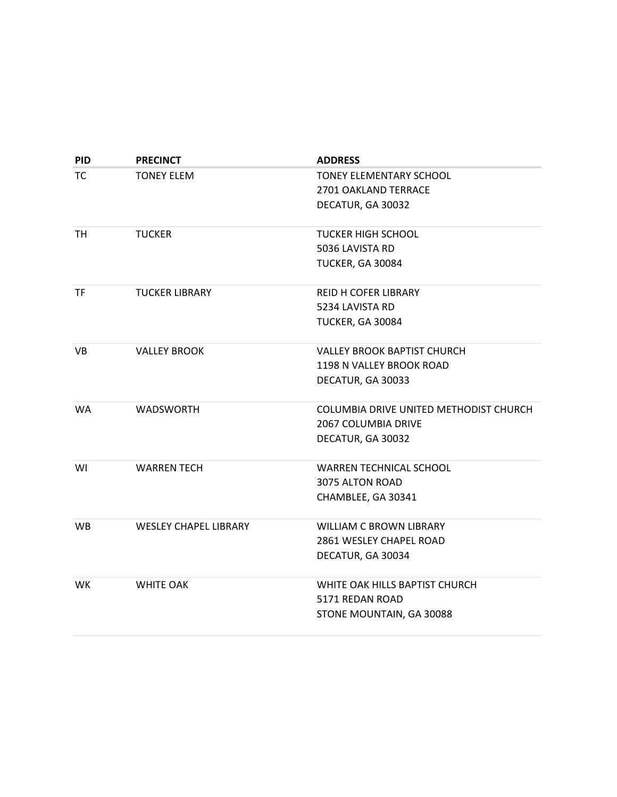| <b>PID</b> | <b>PRECINCT</b>              | <b>ADDRESS</b>                         |
|------------|------------------------------|----------------------------------------|
| TC         | <b>TONEY ELEM</b>            | <b>TONEY ELEMENTARY SCHOOL</b>         |
|            |                              | 2701 OAKLAND TERRACE                   |
|            |                              | DECATUR, GA 30032                      |
| TH         | <b>TUCKER</b>                | <b>TUCKER HIGH SCHOOL</b>              |
|            |                              | 5036 LAVISTA RD                        |
|            |                              | TUCKER, GA 30084                       |
| <b>TF</b>  | <b>TUCKER LIBRARY</b>        | REID H COFER LIBRARY                   |
|            |                              | 5234 LAVISTA RD                        |
|            |                              | TUCKER, GA 30084                       |
| VB         | <b>VALLEY BROOK</b>          | <b>VALLEY BROOK BAPTIST CHURCH</b>     |
|            |                              | 1198 N VALLEY BROOK ROAD               |
|            |                              | DECATUR, GA 30033                      |
| <b>WA</b>  | <b>WADSWORTH</b>             | COLUMBIA DRIVE UNITED METHODIST CHURCH |
|            |                              | 2067 COLUMBIA DRIVE                    |
|            |                              | DECATUR, GA 30032                      |
| WI         | <b>WARREN TECH</b>           | <b>WARREN TECHNICAL SCHOOL</b>         |
|            |                              | 3075 ALTON ROAD                        |
|            |                              | CHAMBLEE, GA 30341                     |
| <b>WB</b>  | <b>WESLEY CHAPEL LIBRARY</b> | <b>WILLIAM C BROWN LIBRARY</b>         |
|            |                              | 2861 WESLEY CHAPEL ROAD                |
|            |                              | DECATUR, GA 30034                      |
| <b>WK</b>  | <b>WHITE OAK</b>             | WHITE OAK HILLS BAPTIST CHURCH         |
|            |                              | 5171 REDAN ROAD                        |
|            |                              | STONE MOUNTAIN, GA 30088               |